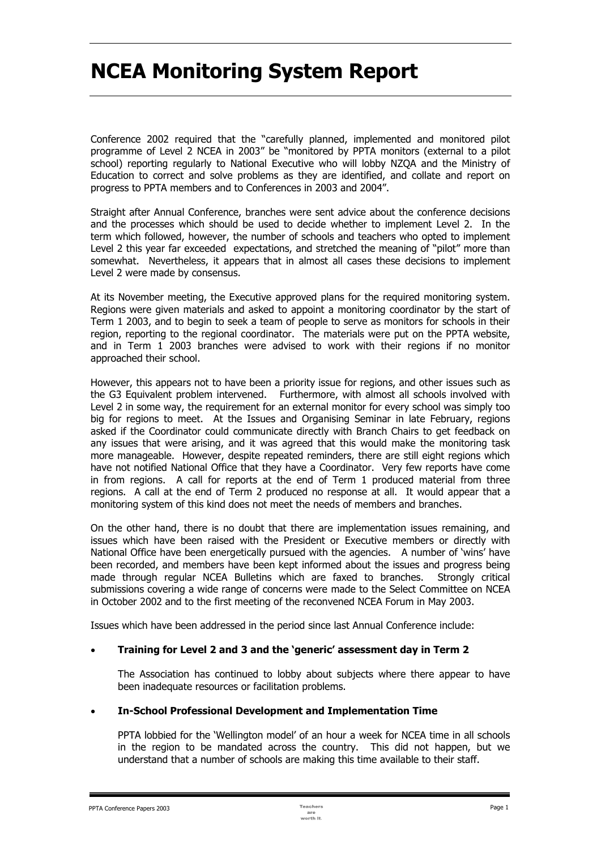# **NCEA Monitoring System Report**

Conference 2002 required that the "carefully planned, implemented and monitored pilot programme of Level 2 NCEA in 2003" be "monitored by PPTA monitors (external to a pilot school) reporting regularly to National Executive who will lobby NZQA and the Ministry of Education to correct and solve problems as they are identified, and collate and report on progress to PPTA members and to Conferences in 2003 and 2004".

Straight after Annual Conference, branches were sent advice about the conference decisions and the processes which should be used to decide whether to implement Level 2. In the term which followed, however, the number of schools and teachers who opted to implement Level 2 this year far exceeded expectations, and stretched the meaning of "pilot" more than somewhat. Nevertheless, it appears that in almost all cases these decisions to implement Level 2 were made by consensus.

At its November meeting, the Executive approved plans for the required monitoring system. Regions were given materials and asked to appoint a monitoring coordinator by the start of Term 1 2003, and to begin to seek a team of people to serve as monitors for schools in their region, reporting to the regional coordinator. The materials were put on the PPTA website, and in Term 1 2003 branches were advised to work with their regions if no monitor approached their school.

However, this appears not to have been a priority issue for regions, and other issues such as the G3 Equivalent problem intervened. Furthermore, with almost all schools involved with Level 2 in some way, the requirement for an external monitor for every school was simply too big for regions to meet. At the Issues and Organising Seminar in late February, regions asked if the Coordinator could communicate directly with Branch Chairs to get feedback on any issues that were arising, and it was agreed that this would make the monitoring task more manageable. However, despite repeated reminders, there are still eight regions which have not notified National Office that they have a Coordinator. Very few reports have come in from regions. A call for reports at the end of Term 1 produced material from three regions. A call at the end of Term 2 produced no response at all. It would appear that a monitoring system of this kind does not meet the needs of members and branches.

On the other hand, there is no doubt that there are implementation issues remaining, and issues which have been raised with the President or Executive members or directly with National Office have been energetically pursued with the agencies. A number of 'wins' have been recorded, and members have been kept informed about the issues and progress being made through regular NCEA Bulletins which are faxed to branches. Strongly critical submissions covering a wide range of concerns were made to the Select Committee on NCEA in October 2002 and to the first meeting of the reconvened NCEA Forum in May 2003.

Issues which have been addressed in the period since last Annual Conference include:

## • **Training for Level 2 and 3 and the 'generic' assessment day in Term 2**

The Association has continued to lobby about subjects where there appear to have been inadequate resources or facilitation problems.

## • **In-School Professional Development and Implementation Time**

PPTA lobbied for the 'Wellington model' of an hour a week for NCEA time in all schools in the region to be mandated across the country. This did not happen, but we understand that a number of schools are making this time available to their staff.